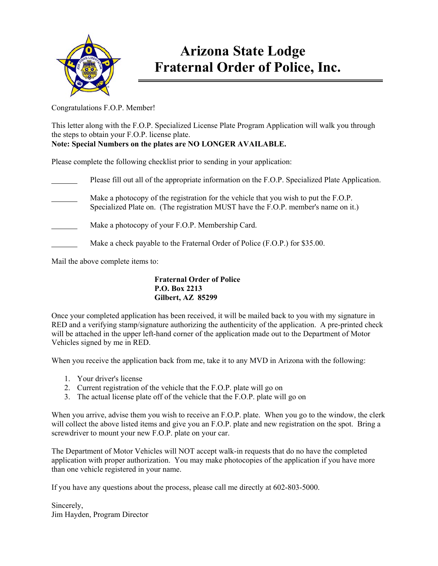

## **Arizona State Lodge Fraternal Order of Police, Inc.**

Congratulations F.O.P. Member!

This letter along with the F.O.P. Specialized License Plate Program Application will walk you through the steps to obtain your F.O.P. license plate. **Note: Special Numbers on the plates are NO LONGER AVAILABLE.** 

Please complete the following checklist prior to sending in your application:

 Please fill out all of the appropriate information on the F.O.P. Specialized Plate Application. Make a photocopy of the registration for the vehicle that you wish to put the F.O.P. Specialized Plate on. (The registration MUST have the F.O.P. member's name on it.) Make a photocopy of your F.O.P. Membership Card. Make a check payable to the Fraternal Order of Police (F.O.P.) for \$35.00.

Mail the above complete items to:

**Fraternal Order of Police P.O. Box 2213 Gilbert, AZ 85299** 

Once your completed application has been received, it will be mailed back to you with my signature in RED and a verifying stamp/signature authorizing the authenticity of the application. A pre-printed check will be attached in the upper left-hand corner of the application made out to the Department of Motor Vehicles signed by me in RED.

When you receive the application back from me, take it to any MVD in Arizona with the following:

- 1. Your driver's license
- 2. Current registration of the vehicle that the F.O.P. plate will go on
- 3. The actual license plate off of the vehicle that the F.O.P. plate will go on

When you arrive, advise them you wish to receive an F.O.P. plate. When you go to the window, the clerk will collect the above listed items and give you an F.O.P. plate and new registration on the spot. Bring a screwdriver to mount your new F.O.P. plate on your car.

The Department of Motor Vehicles will NOT accept walk-in requests that do no have the completed application with proper authorization. You may make photocopies of the application if you have more than one vehicle registered in your name.

If you have any questions about the process, please call me directly at 602-803-5000.

Sincerely, Jim Hayden, Program Director